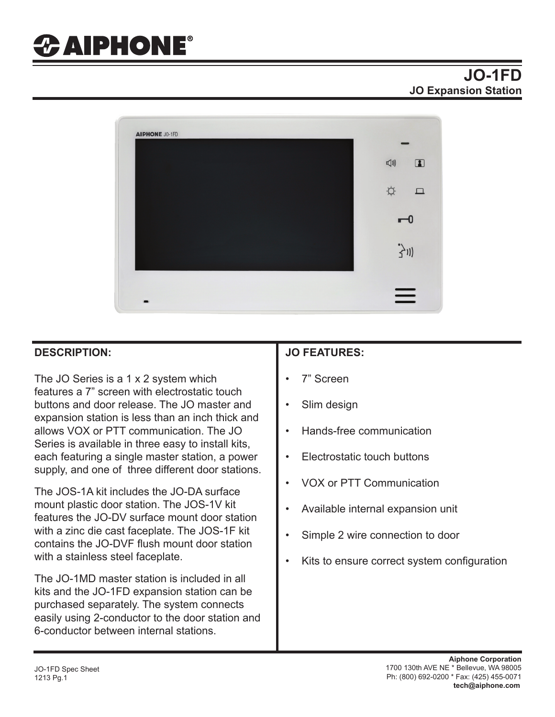# *CAIPHONE®*

# **JO-1FD JO Expansion Station**



### **DESCRIPTION:**

The JO Series is a 1 x 2 system which features a 7" screen with electrostatic touch buttons and door release. The JO master and expansion station is less than an inch thick and allows VOX or PTT communication. The JO Series is available in three easy to install kits, each featuring a single master station, a power supply, and one of three different door stations.

The JOS-1A kit includes the JO-DA surface mount plastic door station. The JOS-1V kit features the JO-DV surface mount door station with a zinc die cast faceplate. The JOS-1F kit contains the JO-DVF flush mount door station with a stainless steel faceplate.

The JO-1MD master station is included in all kits and the JO-1FD expansion station can be purchased separately. The system connects easily using 2-conductor to the door station and 6-conductor between internal stations.

## **JO FEATURES:**

- 7" Screen
- Slim design
- Hands-free communication
- Electrostatic touch buttons
- VOX or PTT Communication
- Available internal expansion unit
- Simple 2 wire connection to door
- Kits to ensure correct system configuration